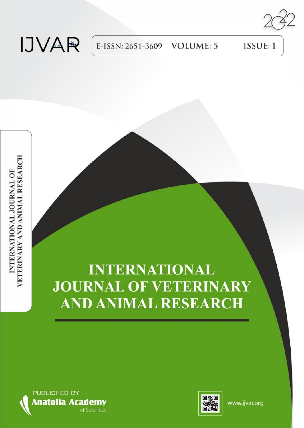# **IJVAR**

E-ISSN: 2651-3609 **VOLUME: 5**  ISSUE: 1

# **INTERNATIONAL JOURNAL OF VETERINARY AND ANIMAL RESEARCH**





www.ijvar.org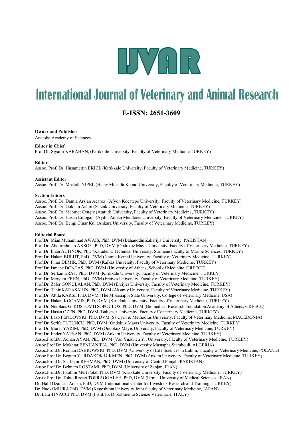

## **International Journal of Veterinary and Animal Research**

### **E-ISSN: 2651-3609**

#### **Owner and Publisher**

Anatolia Academy of Sciences

#### **Editor in Chief**

Prof.Dr. Siyami KARAHAN, (Kırıkkale University, Faculty of Veterinary Medicine,TURKEY)

#### **Editor**

Assoc. Prof. Dr. Husamettin EKICI, (Kırıkkale University, Faculty of Veterinary Medicine, TURKEY)

#### **Assistant Editor**

Assoc. Prof. Dr. Mustafa YIPEL (Hatay Mustafa Kemal University, Faculty of Veterinary Medicine, TURKEY)

#### **Section Editors**

Assoc. Prof. Dr. Damla Arslan Acaroz (Afyon Kocatepe University, Faculty of Veterinary Medicine, TURKEY) Assoc. Prof. Dr. Gokhan Aslim (Selcuk University, Faculty of Veterinary Medicine, TURKEY) Assoc. Prof. Dr. Mehmet Cengiz (Ataturk University, Faculty of Veterinary Medicine, TURKEY) Assoc. Prof. Dr. Hasan Erdogan, (Aydin Adnan Menderes University, Faculty of Veterinary Medicine, TURKEY) Assoc. Prof. Dr. Bengi Cinar Kul (Ankara University, Faculty of Veterinary Medicine, TURKEY)

#### **Editorial Board**

Prof.Dr. Mian Muhammad AWAIS, PhD, DVM (Bahauddin Zakariya University, PAKISTAN) Prof.Dr. Abdurrahman AKSOY, PhD, DVM (Ondokuz Mayıs University, Faculty of Veterinary Medicine, TURKEY) Prof.Dr. İlhan ALTINOK, PhD (Karadeniz Technical University, Sürmene Faculty of Marine Sciences, TURKEY) Prof.Dr. Hakan BULUT, PhD, DVM (Namık Kemal University, Faculty of Veterinary Medicine, TURKEY) Prof.Dr. Pınar DEMIR, PhD, DVM (Kafkas University, Faculty of Veterinary Medicine, TURKEY) Prof.Dr. Ismene DONTAS, PhD, DVM (University of Athens, School of Medicine, GREECE) Prof.Dr. Serkan ERAT, PhD, DVM (Kırıkkale University, Faculty of Veterinary Medicine, TURKEY) Prof.Dr. Meryem EREN, PhD, DVM (Erciyes University, Faculty of Veterinary Medicine, TURKEY) Prof.Dr. Zafer GONULALAN, PhD, DVM (Erciyes University, Faculty of Veterinary Medicine, TURKEY) Prof.Dr. Tahir KARASAHIN, PhD, DVM (Aksaray University, Faculty of Veterinary Medicine, TURKEY) Prof.Dr. Attila KARSI, PhD, DVM (The Mississippi State University, College of Veterinary Medicine, USA) Prof.Dr. Hakan KOCAMIS, PhD, DVM (Kırıkkale University, Faculty of Veterinary Medicine, TURKEY) Prof.Dr. Nikolaos G. KOSTOMITSOPOULOS, PhD, DVM (Biomedical Research Foundation Academy of Athens, GREECE) Prof.Dr. Hasan OZEN, PhD, DVM (Balıkesir University, Faculty of Veterinary Medicine, TURKEY) Prof.Dr. Lazo PENDOVSKI, PhD, DVM (Ss.Cyril & Methodius University, Faculty of Veterinary Medicine, MACEDONIA) Prof.Dr. Serife TUTUNCU, PhD, DVM (Ondokuz Mayıs University, Faculty of Veterinary Medicine, TURKEY) Prof.Dr. Murat YARIM, PhD, DVM (Ondokuz Mayıs University, Faculty of Veterinary Medicine, TURKEY) Prof.Dr. Ender YARSAN, PhD, DVM (Ankara University, Faculty of Veterinary Medicine, TURKEY) Assoc.Prof.Dr. Adnan AYAN, PhD, DVM (Van Yüzüncü Yıl University, Faculty of Veterinary Medicine, TURKEY) Assoc.Prof.Dr. Mokhtar BENHANIFIA, PhD, DVM (University Mustapha Stambouli, ALGERIA) Assoc.Prof.Dr. Roman DABROWSKI, PhD, DVM (University of Life Sciences in Lublin, Faculty of Veterinary Medicine, POLAND) Assoc.Prof.Dr. Begum YURDAKOK DIKMEN, PhD, DVM (Ankara University, Faculty of Veterinary Medicine, TURKEY) Assoc.Prof.Dr. Shafiq ur REHMAN, PhD, DVM (University of Central Punjab, PAKISTAN) Assoc.Prof.Dr. Behnam ROSTAMI, PhD, DVM (University of Zanjan, IRAN) Assist.Prof.Dr. Ibrahim Mert Polat, PhD, DVM (Kırıkkale University, Faculty of Veterinary Medicine, TURKEY) Assist.Prof.Dr. Tohid Rezaei TOPRAGGALEH, PhD, DVM (Urmia University of Medical Sciences, IRAN) Dr. Halil Ozancan Arslan, PhD, DVM (International Center for Livestock Research and Training, TURKEY) Dr. Naoki MIURA PhD, DVM (Kagoshima University Joint faculty of Veterinary Medicine, JAPAN) Dr. Lara TINACCI PhD, DVM (FishLab, Dipartimento Scienze Veterinarie, ITALY)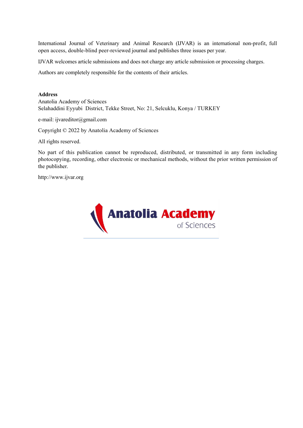International Journal of Veterinary and Animal Research (IJVAR) is an international non-profit, full open access, double-blind peer-reviewed journal and publishes three issues per year.

IJVAR welcomes article submissions and does not charge any article submission or processing charges.

Authors are completely responsible for the contents of their articles.

#### **Address**

Anatolia Academy of Sciences Selahaddini Eyyubi District, Tekke Street, No: 21, Selcuklu, Konya / TURKEY

e-mail: ijvareditor@gmail.com

Copyright © 2022 by Anatolia Academy of Sciences

All rights reserved.

No part of this publication cannot be reproduced, distributed, or transmitted in any form including photocopying, recording, other electronic or mechanical methods, without the prior written permission of the publisher.

http://www.ijvar.org